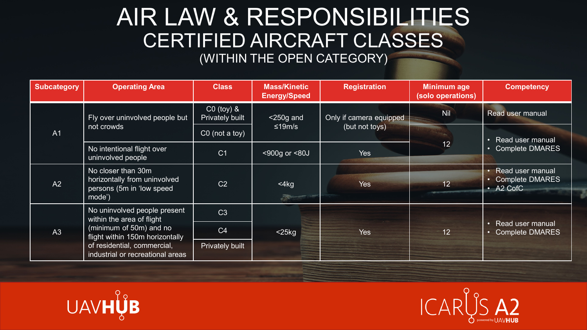## AIR LAW & RESPONSIBILITIES CERTIFIED AIRCRAFT CLASSES (WITHIN THE OPEN CATEGORY)

| <b>Subcategory</b> | <b>Operating Area</b>                                                                                                                                                                      | <b>Class</b>                             | <b>Mass/Kinetic</b><br><b>Energy/Speed</b> | <b>Registration</b>                       | <b>Minimum age</b><br>(solo operations) | <b>Competency</b>                                                              |
|--------------------|--------------------------------------------------------------------------------------------------------------------------------------------------------------------------------------------|------------------------------------------|--------------------------------------------|-------------------------------------------|-----------------------------------------|--------------------------------------------------------------------------------|
| A <sub>1</sub>     | Fly over uninvolved people but<br>not crowds                                                                                                                                               | $CO$ (toy) $&$<br><b>Privately built</b> | $<$ 250g and<br>≤19m/s                     | Only if camera equipped<br>(but not toys) | <b>Nil</b>                              | Read user manual                                                               |
|                    |                                                                                                                                                                                            | $CO$ (not a toy)                         |                                            |                                           | $\overline{12}$                         | Read user manual<br>$\bullet$<br><b>Complete DMARES</b><br>$\bullet$           |
|                    | No intentional flight over<br>uninvolved people                                                                                                                                            | C <sub>1</sub>                           | <900g or <80J                              | Yes                                       |                                         |                                                                                |
| A2                 | No closer than 30m<br>horizontally from uninvolved<br>persons (5m in 'low speed<br>mode')                                                                                                  | C <sub>2</sub>                           | $<$ 4 $kg$<br>不吃的                          | <b>Yes</b>                                | 12 <sup>°</sup>                         | Read user manual<br><b>Complete DMARES</b><br>A <sub>2</sub> CofC<br>$\bullet$ |
| A3                 | No uninvolved people present<br>within the area of flight<br>(minimum of 50m) and no<br>flight within 150m horizontally<br>of residential, commercial,<br>industrial or recreational areas | C <sub>3</sub>                           |                                            | <b>Yes</b>                                | 12 <sup>2</sup>                         | <b>Read user manual</b><br>$\bullet$<br><b>Complete DMARES</b><br>$\bullet$    |
|                    |                                                                                                                                                                                            | C <sub>4</sub>                           | $<$ 25 $kg$                                |                                           |                                         |                                                                                |
|                    |                                                                                                                                                                                            | Privately built                          |                                            |                                           |                                         |                                                                                |